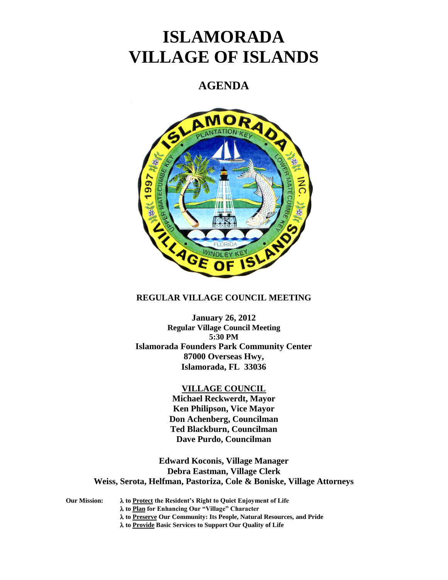# **ISLAMORADA VILLAGE OF ISLANDS**

# **AGENDA**



## **REGULAR VILLAGE COUNCIL MEETING**

**January 26, 2012 Regular Village Council Meeting 5:30 PM Islamorada Founders Park Community Center 87000 Overseas Hwy, Islamorada, FL 33036**

### **VILLAGE COUNCIL**

**Michael Reckwerdt, Mayor Ken Philipson, Vice Mayor Don Achenberg, Councilman Ted Blackburn, Councilman Dave Purdo, Councilman**

**Edward Koconis, Village Manager Debra Eastman, Village Clerk Weiss, Serota, Helfman, Pastoriza, Cole & Boniske, Village Attorneys**

**Our Mission: to Protect the Resident's Right to Quiet Enjoyment of Life to Plan for Enhancing Our "Village" Character to Preserve Our Community: Its People, Natural Resources, and Pride to Provide Basic Services to Support Our Quality of Life**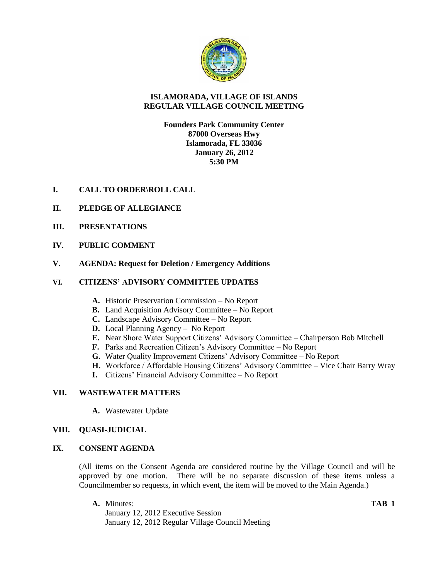

# **ISLAMORADA, VILLAGE OF ISLANDS REGULAR VILLAGE COUNCIL MEETING**

# **Founders Park Community Center 87000 Overseas Hwy Islamorada, FL 33036 January 26, 2012 5:30 PM**

- **I. CALL TO ORDER\ROLL CALL**
- **II. PLEDGE OF ALLEGIANCE**
- **III. PRESENTATIONS**
- **IV. PUBLIC COMMENT**
- **V. AGENDA: Request for Deletion / Emergency Additions**

# **VI. CITIZENS' ADVISORY COMMITTEE UPDATES**

- **A.** Historic Preservation Commission No Report
- **B.** Land Acquisition Advisory Committee No Report
- **C.** Landscape Advisory Committee No Report
- **D.** Local Planning Agency No Report
- **E.** Near Shore Water Support Citizens' Advisory Committee Chairperson Bob Mitchell
- **F.** Parks and Recreation Citizen's Advisory Committee No Report
- **G.** Water Quality Improvement Citizens' Advisory Committee No Report
- **H.** Workforce / Affordable Housing Citizens' Advisory Committee Vice Chair Barry Wray
- **I.** Citizens' Financial Advisory Committee No Report

# **VII. WASTEWATER MATTERS**

**A.** Wastewater Update

# **VIII. QUASI-JUDICIAL**

# **IX. CONSENT AGENDA**

(All items on the Consent Agenda are considered routine by the Village Council and will be approved by one motion. There will be no separate discussion of these items unless a Councilmember so requests, in which event, the item will be moved to the Main Agenda.)

**A.** Minutes: **TAB 1**

January 12, 2012 Executive Session January 12, 2012 Regular Village Council Meeting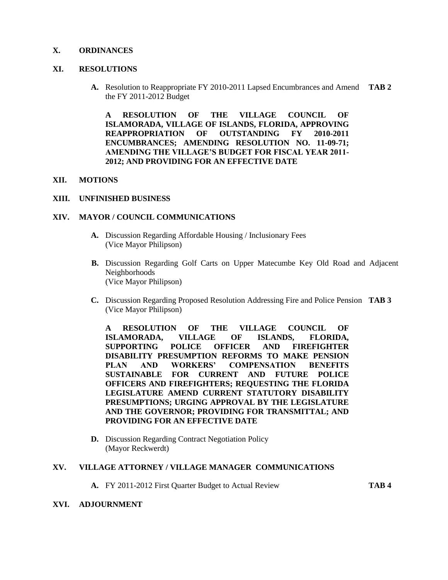### **X. ORDINANCES**

#### **XI. RESOLUTIONS**

**A.** Resolution to Reappropriate FY 2010-2011 Lapsed Encumbrances and Amend **TAB 2** the FY 2011-2012 Budget

**A RESOLUTION OF THE VILLAGE COUNCIL OF ISLAMORADA, VILLAGE OF ISLANDS, FLORIDA, APPROVING REAPPROPRIATION OF OUTSTANDING FY 2010-2011 ENCUMBRANCES; AMENDING RESOLUTION NO. 11-09-71; AMENDING THE VILLAGE'S BUDGET FOR FISCAL YEAR 2011- 2012; AND PROVIDING FOR AN EFFECTIVE DATE**

#### **XII. MOTIONS**

#### **XIII. UNFINISHED BUSINESS**

#### **XIV. MAYOR / COUNCIL COMMUNICATIONS**

- **A.** Discussion Regarding Affordable Housing / Inclusionary Fees (Vice Mayor Philipson)
- **B.** Discussion Regarding Golf Carts on Upper Matecumbe Key Old Road and Adjacent Neighborhoods (Vice Mayor Philipson)
- **C.** Discussion Regarding Proposed Resolution Addressing Fire and Police Pension **TAB 3** (Vice Mayor Philipson)

**A RESOLUTION OF THE VILLAGE COUNCIL OF ISLAMORADA, VILLAGE OF ISLANDS, FLORIDA, SUPPORTING POLICE OFFICER AND FIREFIGHTER DISABILITY PRESUMPTION REFORMS TO MAKE PENSION PLAN AND WORKERS' COMPENSATION BENEFITS SUSTAINABLE FOR CURRENT AND FUTURE POLICE OFFICERS AND FIREFIGHTERS; REQUESTING THE FLORIDA LEGISLATURE AMEND CURRENT STATUTORY DISABILITY PRESUMPTIONS; URGING APPROVAL BY THE LEGISLATURE AND THE GOVERNOR; PROVIDING FOR TRANSMITTAL; AND PROVIDING FOR AN EFFECTIVE DATE**

**D.** Discussion Regarding Contract Negotiation Policy (Mayor Reckwerdt)

#### **XV. VILLAGE ATTORNEY / VILLAGE MANAGER COMMUNICATIONS**

**A.** FY 2011-2012 First Quarter Budget to Actual Review **TAB 4**

#### **XVI. ADJOURNMENT**